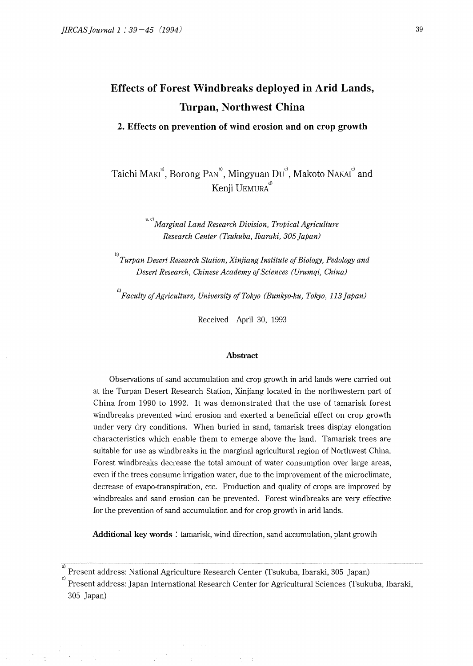**2. Effects on prevention of wind erosion and on crop growth** 

Taichi MAKI<sup>a</sup>, Borong PAN<sup>b)</sup>, Mingyuan Du<sup>°</sup>, Makoto NAKAI<sup>c</sup> and Kenji UEMURA<sup>d)</sup>

> a, c) *Marginal Land Research Division, Tropical Agriculture Research Center (Tsukuba, Ibaraki, 305 Japan)*

b) *Turpan Desert Research Station, Xinjiang Institute of Biology, Pedology and Desert Research, Chinese Academy of Sciences (Urumqi, China)* 

d) *Faculty of Agriculture, University of Tokyo (Bunkyo-ku, Tokyo, 113 Japan)* 

Received April 30, 1993

### **Abstract**

Observations of sand accumulation and crop growth in arid lands were carried out at the Turpan Desert Research Station, Xinjiang located in the northwestern part of China from 1990 to 1992. It was demonstrated that the use of tamarisk forest windbreaks prevented wind erosion and exerted a beneficial effect on crop growth under very dry conditions. When buried in sand, tamarisk trees display elongation characteristics which enable them to emerge above the land. Tamarisk trees are suitable for use as windbreaks in the marginal agricultural region of Northwest China. Forest windbreaks decrease the total amount of water consumption over large areas, even if the trees consume irrigation water, due to the improvement of the microclimate, decrease of evapo-transpiration, etc. Production and quality of crops are improved by windbreaks and sand erosion can be prevented. Forest windbreaks are very effective for the prevention of sand accumulation and for crop growth in arid lands.

**Additional key words** : tamarisk, wind direction, sand accumulation, plant growth

c) Present address: Japan International Research Center for Agricultural Sciences (Tsukuba, Ibaraki, 305 Japan)

 $\mathcal{L}_{\rm{max}}$  , and  $\mathcal{L}_{\rm{max}}$ 

a) Present address: National Agriculture Research Center (Tsukuba, lbaraki, 305 Japan)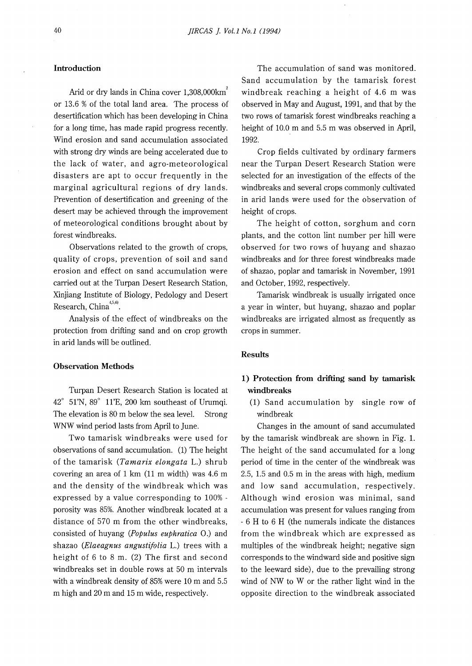## **Introduction**

Arid or dry lands in China cover 1,308,000km<sup>2</sup> or 13.6 % of the total land area. The process of desertification which has been developing in China for a long time, has made rapid progress recently. Wind erosion and sand accumulation associated with strong dry winds are being accelerated due to the lack of water, and agro-meteorological disasters are apt to occur frequently in the marginal agricultural regions of dry lands. Prevention of desertification and greening of the desert may be achieved through the improvement of meteorological conditions brought about by forest windbreaks.

Observations related to the growth of crops, quality of crops, prevention of soil and sand erosion and effect on sand accumulation were carried out at the Turpan Desert Research Station, Xinjiang Institute of Biology, Pedology and Desert  $Research, China^{4,5,6)}$ .

Analysis of the effect of windbreaks on the protection from drifting sand and on crop growth in arid lands will be outlined.

#### **Observation Methods**

Turpan Desert Research Station is located at 42° 51'N, 89° ll'E, 200 km southeast of Urumqi. The elevation is 80 m below the sea level. Strong WNW wind period lasts from April to June.

Two tamarisk windbreaks were used for observations of sand accumulation. (1) The height of the tamarisk *(Tamarix elongata* L.) shrub covering an area of 1 km (11 m width) was 4.6 m and the density of the windbreak which was expressed by a value corresponding to 100% porosity was 85%. Another windbreak located at a distance of 570 m from the other windbreaks, consisted of huyang *(Populus euphratica* 0.) and shazao *(Elaeagnus angustifolia* L.) trees with a height of 6 to 8 m. (2) The first and second windbreaks set in double rows at 50 m intervals with a windbreak density of 85% were 10 m and 5.5 m high and 20 m and 15 m wide, respectively.

The accumulation of sand was monitored. Sand accumulation by the tamarisk forest windbreak reaching a height of 4.6 m was observed in May and August, 1991, and that by the two rows of tamarisk forest windbreaks reaching a height of 10.0 m and 5.5 m was observed in April, 1992.

Crop fields cultivated by ordinary farmers near the Turpan Desert Research Station were selected for an investigation of the effects of the windbreaks and several crops commonly cultivated in arid lands were used for the observation of height of crops.

The height of cotton, sorghum and corn plants, and the cotton lint number per hill were observed for two rows of huyang and shazao windbreaks and for three forest windbreaks made of shazao, poplar and tamarisk in November, 1991 and October, 1992, respectively.

Tamarisk windbreak is usually irrigated once a year in winter, but huyang, shazao and poplar windbreaks are irrigated almost as frequently as crops in summer.

#### **Results**

# **1) Protection from drifting sand by tamarisk windbreaks**

(1) Sand accumulation by single row of windbreak

Changes in the amount of sand accumulated by the tamarisk windbreak are shown in Fig. 1. The height of the sand accumulated for a long period of time in the center of the windbreak was 2.5, 1.5 and 0.5 m in the areas with high, medium and low sand accumulation, respectively. Although wind erosion was minimal, sand accumulation was present for values ranging from 6 H to 6 H (the numerals indicate the distances from the windbreak which are expressed as multiples of the windbreak height; negative sign corresponds to the windward side and positive sign to the leeward side), due to the prevailing strong wind of NW to W or the rather light wind in the opposite direction to the windbreak associated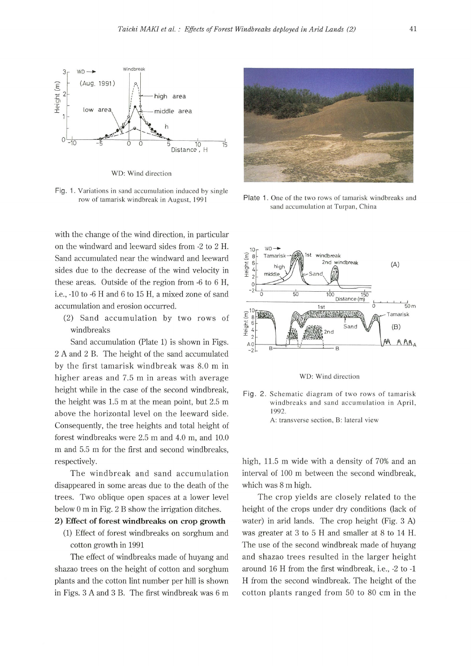

WO: Wind direction

Fig. 1. Variations in sand accumulation induced by single row of tamarisk windbreak in August, 1991

with the change of the wind direction, in particular on the windward and leeward sides from -2 to 2 H. Sand accumulated near the windward and leeward sides due to the decrease of the wind velocity in these areas. Outside of the region from -6 to 6 H, i.e., -10 to -6 H and 6 to 15 H, a mixed zone of sand accumulation and erosion occurred.

(2) Sand accumulation by two rows of windbreaks

Sand accumulation (Plate 1) is shown in Figs. 2 A and 2 B. The height of the sand accumulated by the first tamarisk windbreak was 8.0 m in higher areas and 7.5 m in areas with average height while in the case of the second windbreak, the height was 1.5 m at the mean point, but 2.5 m above the horizontal level on the leeward side. Consequently, the tree heights and total height of forest windbreaks were 2.5 m and 4.0 m, and 10.0 m and 5.5 m for the first and second windbreaks, respectively.

The windbreak and sand accumulation disappeared in some areas due to the death of the trees. Two oblique open spaces at a lower level below O m in Fig. 2 B show the irrigation ditches.

#### **2) Effect of forest windbreaks on crop growth**

(1) Effect of forest windbreaks on sorghum and cotton growth in 1991

The effect of windbreaks made of huyang and shazao trees on the height of cotton and sorghum plants and the cotton lint number per hill is shown in Figs. 3 A and 3 B. The first windbreak was 6 m



Plate 1. One of the two rows of tamarisk windbreaks and sand accumulation at Turpan, China



WD: Wind direction

Fig. 2. Schematic diagram of two rows of tamarisk windbreaks and sand accumulation in April, 1992. A: transverse section, B: lateral view

high, 11.5 m wide with a density of 70% and an interval of 100 m between the second windbreak, which was 8 m high.

The crop yields are closely related to the height of the crops under dry conditions (lack of water) in arid lands. The crop height (Fig. 3 A) was greater at 3 to 5 H and smaller at 8 to 14 H. The use of the second windbreak made of huyang and shazao trees resulted in the larger height around 16 H from the first windbreak, i.e., -2 to -1 H from the second windbreak. The height of the cotton plants ranged from 50 to 80 cm in the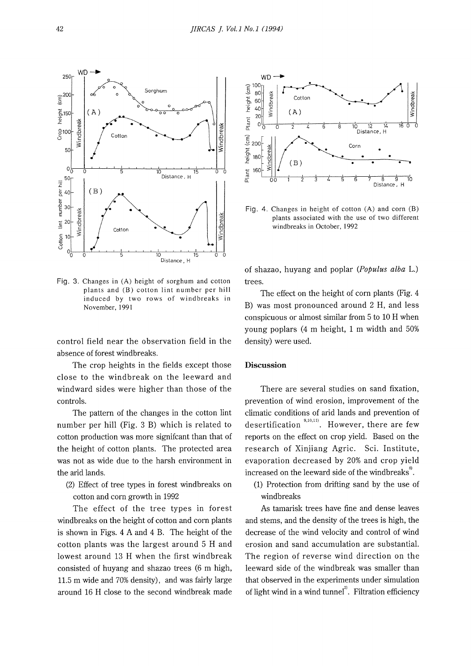

Fig. 3. Changes in (A) height of sorghum and cotton plants and (B) cotton lint number per hill induced by two rows of windbreaks in November, 1991

control field near the observation field in the absence of forest windbreaks.

The crop heights in the fields except those close to the windbreak on the leeward and windward sides were higher than those of the controls.

The pattern of the changes in the cotton lint number per hill (Fig. 3 B) which is related to cotton production was more signifcant than that of the height of cotton plants. The protected area was not as wide due to the harsh environment in the arid lands.

(2) Effect of tree types in forest windbreaks on cotton and corn growth in 1992

The effect of the tree types in forest windbreaks on the height of cotton and corn plants is shown in Figs. 4 A and 4 B. The height of the cotton plants was the largest around 5 H and lowest around 13 H when the first windbreak consisted of huyang and shazao trees (6 m high, 11.5 m wide and 70% density), and was fairly large around 16 H close to the second windbreak made



Fig. 4. Changes in height of cotton (A) and corn (B) plants associated with the use of two different windbreaks in October, 1992

of shazao, huyang and poplar *(Populus alba* L.) trees.

The effect on the height of corn plants (Fig. 4 B) was most pronounced around 2 H, and less conspicuous or almost similar from 5 to 10 H when young poplars (4 m height, 1 m width and 50% density) were used.

#### **Discussion**

There are several studies on sand fixation, prevention of wind erosion, improvement of the climatic conditions of arid lands and prevention of desertification  $\frac{9,10,111}{10}$ . However, there are few reports on the effect on crop yield. Based on the research of Xinjiang Agric. Sci. Institute, evaporation decreased by 20% and crop yield increased on the leeward side of the windbreaks<sup>3</sup>.

(1) Protection from drifting sand by the use of windbreaks

As tamarisk trees have fine and dense leaves and stems, and the density of the trees is high, the decrease of the wind velocity and control of wind erosion and sand accumulation are substantial. The region of reverse wind direction on the leeward side of the windbreak was smaller than that observed in the experiments under simulation of light wind in a wind tunnel $^2$ . Filtration efficiency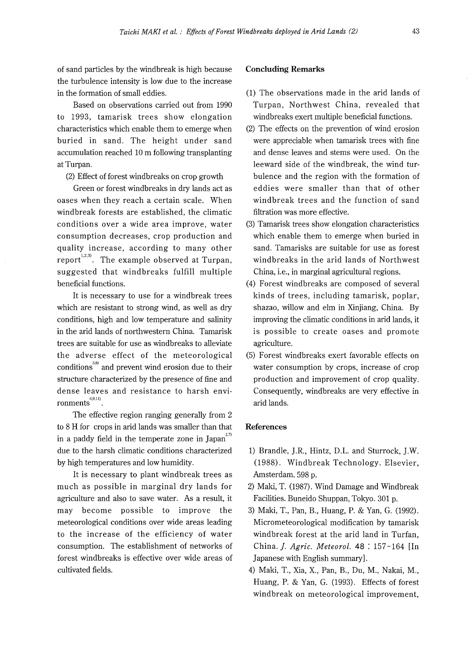of sand particles by the windbreak is high because the turbulence intensity is low due to the increase in the formation of small eddies.

Based on observations carried out from 1990 to 1993, tamarisk trees show elongation characteristics which enable them to emerge when buried in sand. The height under sand accumulation reached 10 m following transplanting at Turpan.

(2) Effect of forest windbreaks on crop growth

Green or forest windbreaks in dry lands act as oases when they reach a certain scale. When windbreak forests are established, the climatic conditions over a wide area improve, water consumption decreases, crop production and quality increase, according to many other report<sup>1,2,3)</sup>. The example observed at Turpan, suggested that windbreaks fulfill multiple beneficial functions.

It is necessary to use for a windbreak trees which are resistant to strong wind, as well as dry conditions, high and low temperature and salinity in the arid lands of northwestern China. Tamarisk trees are suitable for use as windbreaks to alleviate the adverse effect of the meteorological  $\text{conditions}^{^{3,6}}$  and prevent wind erosion due to their structure characterized by the presence of fine and dense leaves and resistance to harsh envi $romments$ <sup>6,9,11)</sup>

The effective region ranging generally from 2 to 8 **H** for crops in arid lands was smaller than that in a paddy field in the temperate zone in Japan $^{2,7)}$ due to the harsh climatic conditions characterized by high temperatures and low humidity.

It is necessary to plant windbreak trees as much as possible in marginal dry lands for agriculture and also to save water. As a result, it may become possible to improve the meteorological conditions over wide areas leading to the increase of the efficiency of water consumption. The establishment of networks of forest windbreaks is effective over wide areas of cultivated fields.

#### **Concluding Remarks**

- (1) The observations made in the arid lands of Turpan, Northwest China, revealed that windbreaks exert multiple beneficial functions.
- (2) The effects on the prevention of wind erosion were appreciable when tamarisk trees with fine and dense leaves and stems were used. On the leeward side of the windbreak, the wind turbulence and the region with the formation of eddies were smaller than that of other windbreak trees and the function of sand filtration was more effective.
- (3) Tamarisk trees show elongation characteristics which enable them to emerge when buried in sand. Tamarisks are suitable for use as forest windbreaks in the arid lands of Northwest China, i.e., in marginal agricultural regions.
- (4) Forest windbreaks are composed of several kinds of trees, including tamarisk, poplar, shazao, willow and elm in Xinjiang, China. By improving the climatic conditions in arid lands, it is possible to create oases and promote agriculture.
- (5) Forest windbreaks exert favorable effects on water consumption by crops, increase of crop production and improvement of crop quality. Consequently, windbreaks are very effective in arid lands.

## **References**

- 1) Brandle, J.R., Hintz, D.L. and Sturrock, J.W. (1988). Windbreak Technology. Elsevier, Amsterdam. 598 p.
- 2) Maki, T. (1987). Wind Damage and Windbreak Facilities. Buneido Shuppan, Tokyo. 301 p.
- 3) Maki, T., Pan, B., Huang, P. & Yan, G. (1992). Micrometeorological modification by tamarisk windbreak forest at the arid land in Turfan, China.]. *Agric. Meteorol.* 48 : 157-164 [In Japanese with English summary].
- 4) Maki, T., Xia, X., Pan, B., Du, M., Nakai, M., Huang, P. & Yan, G. (1993). Effects of forest windbreak on meteorological improvement,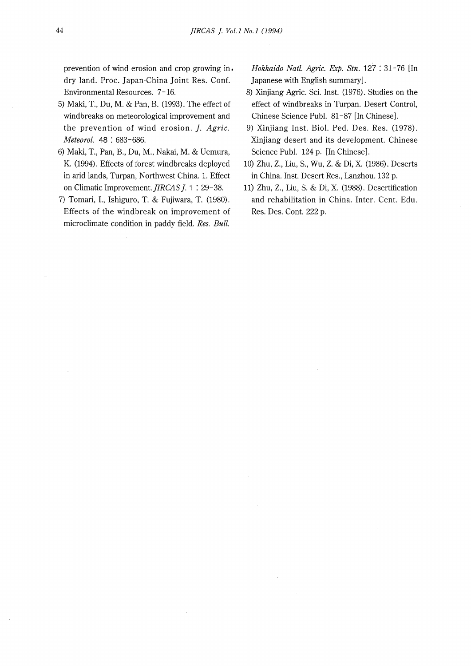prevention of wind erosion and crop growing in. dry land. Proc. Japan-China Joint Res. Conf. Environmental Resources. 7-16.

- 5) Maki, T., Du, M. & Pan, B. (1993). The effect of windbreaks on meteorological improvement and the prevention of wind erosion. *]. Agric. Meteorol.* 48 : 683-686.
- 6) Maki, T., Pan, B., Du, M., Nakai, M. & Uemura, K. (1994). Effects of forest windbreaks deployed in arid lands, Turpan, Northwest China. 1. Effect on Climatic Improvement. *JIRCAS J*. 1 : 29-38.
- 7) Tomari, I., Ishiguro, T. & Fujiwara, T. (1980). Effects of the windbreak on improvement of microclimate condition in paddy field. *Res. Bull.*

*Hokkaido Natl. Agric. Exp. Stn.* 127 : 31-76 [In Japanese with English summary].

- 8) Xinjiang Agric. Sci. Inst. (1976). Studies on the effect of windbreaks in Turpan. Desert Control, Chinese Science Puhl. 81-87 [In Chinese].
- 9) Xinjiang Inst. Biol. Ped. Des. Res. (1978). Xinjiang desert and its development. Chinese Science Puhl. 124 p. [In Chinese].
- 10) Zhu, Z., Liu, S., Wu, Z. & Di, X. (1986). Deserts in China. Inst. Desert Res., Lanzhou. 132 p.
- 11) Zhu, Z., Liu, S. & Di, X. (1988). Desertification and rehabilitation in China. Inter. Cent. Edu. Res. Des. Cont. 222 p.